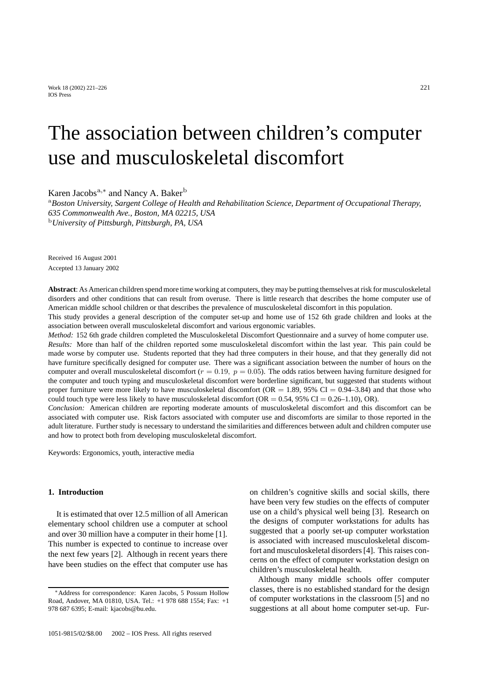Work 18 (2002) 221–226 221 IOS Press

# The association between children's computer use and musculoskeletal discomfort

Karen Jacobs<sup>a,\*</sup> and Nancy A. Baker<sup>b</sup>

<sup>a</sup>*Boston University, Sargent College of Health and Rehabilitation Science, Department of Occupational Therapy, 635 Commonwealth Ave., Boston, MA 02215, USA* <sup>b</sup>*University of Pittsburgh, Pittsburgh, PA, USA*

Received 16 August 2001 Accepted 13 January 2002

**Abstract**: As American children spend more time working at computers, they may be putting themselves at risk for musculoskeletal disorders and other conditions that can result from overuse. There is little research that describes the home computer use of American middle school children or that describes the prevalence of musculoskeletal discomfort in this population.

This study provides a general description of the computer set-up and home use of 152 6th grade children and looks at the association between overall musculoskeletal discomfort and various ergonomic variables.

*Method:* 152 6th grade children completed the Musculoskeletal Discomfort Questionnaire and a survey of home computer use. *Results:* More than half of the children reported some musculoskeletal discomfort within the last year. This pain could be made worse by computer use. Students reported that they had three computers in their house, and that they generally did not have furniture specifically designed for computer use. There was a significant association between the number of hours on the computer and overall musculoskeletal discomfort  $(r = 0.19, p = 0.05)$ . The odds ratios between having furniture designed for the computer and touch typing and musculoskeletal discomfort were borderline significant, but suggested that students without proper furniture were more likely to have musculoskeletal discomfort ( $OR = 1.89$ , 95% CI = 0.94–3.84) and that those who could touch type were less likely to have musculoskeletal discomfort (OR =  $0.54$ , 95% CI =  $0.26-1.10$ ), OR).

*Conclusion:* American children are reporting moderate amounts of musculoskeletal discomfort and this discomfort can be associated with computer use. Risk factors associated with computer use and discomforts are similar to those reported in the adult literature. Further study is necessary to understand the similarities and differences between adult and children computer use and how to protect both from developing musculoskeletal discomfort.

Keywords: Ergonomics, youth, interactive media

## **1. Introduction**

It is estimated that over 12.5 million of all American elementary school children use a computer at school and over 30 million have a computer in their home [1]. This number is expected to continue to increase over the next few years [2]. Although in recent years there have been studies on the effect that computer use has

on children's cognitive skills and social skills, there have been very few studies on the effects of computer use on a child's physical well being [3]. Research on the designs of computer workstations for adults has suggested that a poorly set-up computer workstation is associated with increased musculoskeletal discomfort and musculoskeletal disorders [4]. This raises concerns on the effect of computer workstation design on children's musculoskeletal health.

Although many middle schools offer computer classes, there is no established standard for the design of computer workstations in the classroom [5] and no suggestions at all about home computer set-up. Fur-

<sup>∗</sup>Address for correspondence: Karen Jacobs, 5 Possum Hollow Road, Andover, MA 01810, USA. Tel.: +1 978 688 1554; Fax: +1 978 687 6395; E-mail: kjacobs@bu.edu.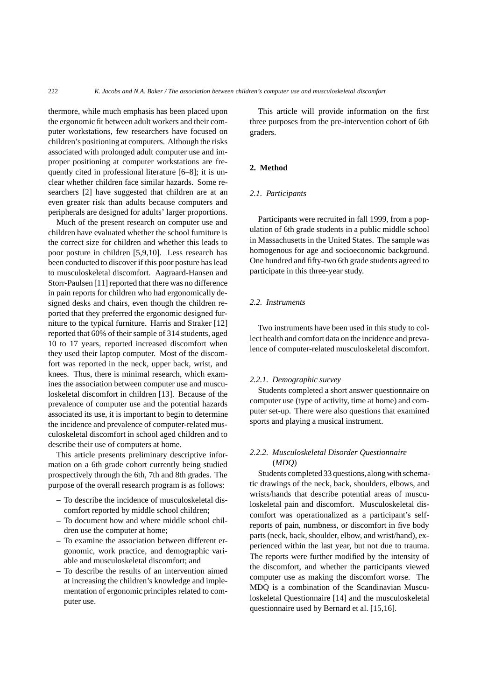thermore, while much emphasis has been placed upon the ergonomic fit between adult workers and their computer workstations, few researchers have focused on children's positioning at computers. Although the risks associated with prolonged adult computer use and improper positioning at computer workstations are frequently cited in professional literature [6–8]; it is unclear whether children face similar hazards. Some researchers [2] have suggested that children are at an even greater risk than adults because computers and peripherals are designed for adults' larger proportions.

Much of the present research on computer use and children have evaluated whether the school furniture is the correct size for children and whether this leads to poor posture in children [5,9,10]. Less research has been conducted to discover if this poor posture has lead to musculoskeletal discomfort. Aagraard-Hansen and Storr-Paulsen [11] reported that there was no difference in pain reports for children who had ergonomically designed desks and chairs, even though the children reported that they preferred the ergonomic designed furniture to the typical furniture. Harris and Straker [12] reported that 60% of their sample of 314 students, aged 10 to 17 years, reported increased discomfort when they used their laptop computer. Most of the discomfort was reported in the neck, upper back, wrist, and knees. Thus, there is minimal research, which examines the association between computer use and musculoskeletal discomfort in children [13]. Because of the prevalence of computer use and the potential hazards associated its use, it is important to begin to determine the incidence and prevalence of computer-related musculoskeletal discomfort in school aged children and to describe their use of computers at home.

This article presents preliminary descriptive information on a 6th grade cohort currently being studied prospectively through the 6th, 7th and 8th grades. The purpose of the overall research program is as follows:

- **–** To describe the incidence of musculoskeletal discomfort reported by middle school children;
- **–** To document how and where middle school children use the computer at home;
- **–** To examine the association between different ergonomic, work practice, and demographic variable and musculoskeletal discomfort; and
- **–** To describe the results of an intervention aimed at increasing the children's knowledge and implementation of ergonomic principles related to computer use.

This article will provide information on the first three purposes from the pre-intervention cohort of 6th graders.

## **2. Method**

#### *2.1. Participants*

Participants were recruited in fall 1999, from a population of 6th grade students in a public middle school in Massachusetts in the United States. The sample was homogenous for age and socioeconomic background. One hundred and fifty-two 6th grade students agreed to participate in this three-year study.

### *2.2. Instruments*

Two instruments have been used in this study to collect health and comfort data on the incidence and prevalence of computer-related musculoskeletal discomfort.

#### *2.2.1. Demographic survey*

Students completed a short answer questionnaire on computer use (type of activity, time at home) and computer set-up. There were also questions that examined sports and playing a musical instrument.

# *2.2.2. Musculoskeletal Disorder Questionnaire* (*MDQ*)

Students completed 33 questions,along with schematic drawings of the neck, back, shoulders, elbows, and wrists/hands that describe potential areas of musculoskeletal pain and discomfort. Musculoskeletal discomfort was operationalized as a participant's selfreports of pain, numbness, or discomfort in five body parts (neck, back, shoulder, elbow, and wrist/hand), experienced within the last year, but not due to trauma. The reports were further modified by the intensity of the discomfort, and whether the participants viewed computer use as making the discomfort worse. The MDQ is a combination of the Scandinavian Musculoskeletal Questionnaire [14] and the musculoskeletal questionnaire used by Bernard et al. [15,16].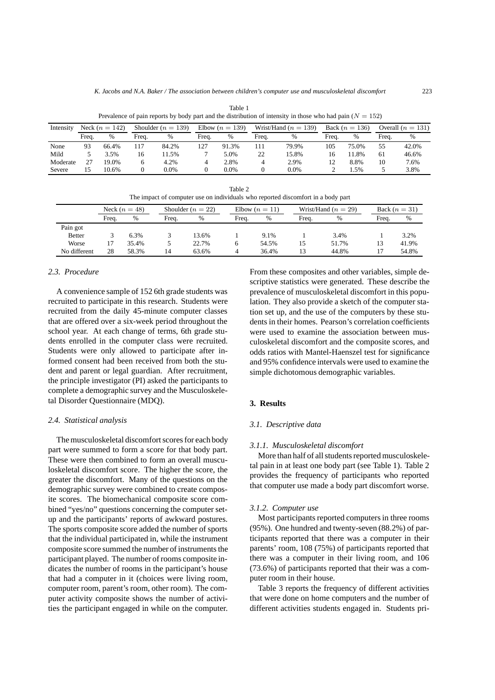| Prevalence of pain reports by body part and the distribution of intensity in those who had pain ( $N = 152$ ) |                  |       |                        |       |                   |         |                        |       |                  |       |                     |       |
|---------------------------------------------------------------------------------------------------------------|------------------|-------|------------------------|-------|-------------------|---------|------------------------|-------|------------------|-------|---------------------|-------|
| Intensity                                                                                                     | Neck $(n = 142)$ |       | Shoulder ( $n = 139$ ) |       | Elbow $(n = 139)$ |         | Wrist/Hand $(n = 139)$ |       | Back $(n = 136)$ |       | Overall $(n = 131)$ |       |
|                                                                                                               | Freq.            | %     | Freq.                  | %     | Freq.             | %       | Freq.                  | %     | Freq.            | %     | Frea.               | %     |
| None                                                                                                          | 93               | 66.4% | 117                    | 84.2% | 127               | 91.3%   | ı 1 1                  | 79.9% | 105              | 75.0% | 55                  | 42.0% |
| Mild                                                                                                          |                  | 3.5%  | 16                     | 1.5%  |                   | 5.0%    | 22                     | 15.8% | 16               | 11.8% | 61                  | 46.6% |
| Moderate                                                                                                      | 27               | 19.0% | 6                      | 4.2%  | 4                 | 2.8%    | $\overline{4}$         | 2.9%  | 12               | 8.8%  | 10                  | 7.6%  |
| Severe                                                                                                        | 15               | 10.6% | 0                      | 0.0%  |                   | $0.0\%$ |                        | 0.0%  |                  | 1.5%  |                     | 3.8%  |

Table 1

| Table 2                                                                          |  |
|----------------------------------------------------------------------------------|--|
| The impact of computer use on individuals who reported discomfort in a body part |  |

|               | Neck $(n=48)$ |       |       | Shoulder $(n = 22)$ |       | Elbow $(n=11)$ |       | Wrist/Hand $(n = 29)$ |       | Back $(n=31)$ |  |
|---------------|---------------|-------|-------|---------------------|-------|----------------|-------|-----------------------|-------|---------------|--|
|               | Freq.         | $\%$  | Frea. | $\%$                | Freq. | $\%$           | Freq. | %                     | Freq. | $\%$          |  |
| Pain got      |               |       |       |                     |       |                |       |                       |       |               |  |
| <b>Better</b> |               | 6.3%  |       | 13.6%               |       | 9.1%           |       | 3.4%                  |       | 3.2%          |  |
| Worse         |               | 35.4% |       | 22.7%               |       | 54.5%          | 15    | 51.7%                 | 13    | 41.9%         |  |
| No different  | 28            | 58.3% | 14    | 63.6%               |       | 36.4%          | 13    | 44.8%                 | 17    | 54.8%         |  |

# *2.3. Procedure*

A convenience sample of 152 6th grade students was recruited to participate in this research. Students were recruited from the daily 45-minute computer classes that are offered over a six-week period throughout the school year. At each change of terms, 6th grade students enrolled in the computer class were recruited. Students were only allowed to participate after informed consent had been received from both the student and parent or legal guardian. After recruitment, the principle investigator (PI) asked the participants to complete a demographic survey and the Musculoskeletal Disorder Questionnaire (MDQ).

## *2.4. Statistical analysis*

The musculoskeletal discomfort scores for each body part were summed to form a score for that body part. These were then combined to form an overall musculoskeletal discomfort score. The higher the score, the greater the discomfort. Many of the questions on the demographic survey were combined to create composite scores. The biomechanical composite score combined "yes/no" questions concerning the computer setup and the participants' reports of awkward postures. The sports composite score added the number of sports that the individual participated in, while the instrument composite score summed the number of instruments the participant played. The number of rooms composite indicates the number of rooms in the participant's house that had a computer in it (choices were living room, computer room, parent's room, other room). The computer activity composite shows the number of activities the participant engaged in while on the computer. From these composites and other variables, simple descriptive statistics were generated. These describe the prevalence of musculoskeletal discomfort in this population. They also provide a sketch of the computer station set up, and the use of the computers by these students in their homes. Pearson's correlation coefficients were used to examine the association between musculoskeletal discomfort and the composite scores, and odds ratios with Mantel-Haenszel test for significance and 95% confidence intervals were used to examine the simple dichotomous demographic variables.

## **3. Results**

# *3.1. Descriptive data*

#### *3.1.1. Musculoskeletal discomfort*

More than half of all students reported musculoskeletal pain in at least one body part (see Table 1). Table 2 provides the frequency of participants who reported that computer use made a body part discomfort worse.

#### *3.1.2. Computer use*

Most participants reported computers in three rooms (95%). One hundred and twenty-seven (88.2%) of participants reported that there was a computer in their parents' room, 108 (75%) of participants reported that there was a computer in their living room, and 106 (73.6%) of participants reported that their was a computer room in their house.

Table 3 reports the frequency of different activities that were done on home computers and the number of different activities students engaged in. Students pri-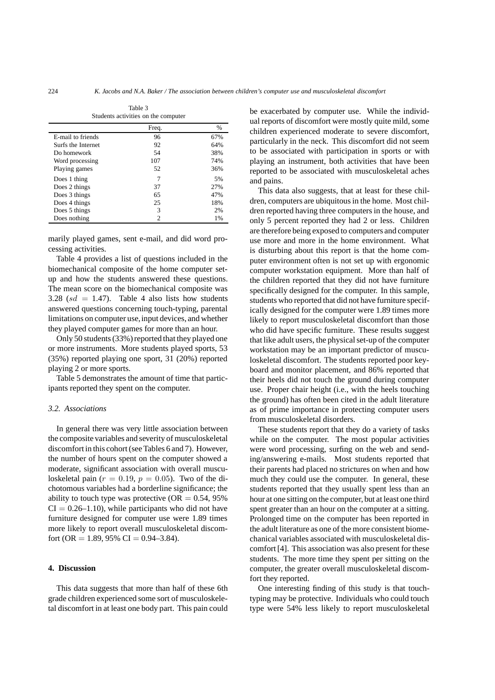|                    | Freq. | $\%$ |
|--------------------|-------|------|
| E-mail to friends  | 96    | 67%  |
| Surfs the Internet | 92    | 64%  |
| Do homework        | 54    | 38%  |
| Word processing    | 107   | 74%  |
| Playing games      | 52    | 36%  |
| Does 1 thing       | 7     | 5%   |
| Does 2 things      | 37    | 27%  |
| Does 3 things      | 65    | 47%  |
| Does 4 things      | 25    | 18%  |
| Does 5 things      | 3     | 2%   |
| Does nothing       | 2     | 1%   |

Table 3 Students activities on the computer

marily played games, sent e-mail, and did word processing activities.

Table 4 provides a list of questions included in the biomechanical composite of the home computer setup and how the students answered these questions. The mean score on the biomechanical composite was 3.28 ( $sd = 1.47$ ). Table 4 also lists how students answered questions concerning touch-typing, parental limitations on computer use,input devices, and whether they played computer games for more than an hour.

Only 50 students (33%) reported that they played one or more instruments. More students played sports, 53 (35%) reported playing one sport, 31 (20%) reported playing 2 or more sports.

Table 5 demonstrates the amount of time that participants reported they spent on the computer.

#### *3.2. Associations*

In general there was very little association between the composite variables and severity of musculoskeletal discomfort in this cohort (see Tables 6 and 7). However, the number of hours spent on the computer showed a moderate, significant association with overall musculoskeletal pain ( $r = 0.19$ ,  $p = 0.05$ ). Two of the dichotomous variables had a borderline significance; the ability to touch type was protective ( $OR = 0.54$ , 95%)  $CI = 0.26-1.10$ , while participants who did not have furniture designed for computer use were 1.89 times more likely to report overall musculoskeletal discomfort (OR = 1.89, 95% CI = 0.94–3.84).

# **4. Discussion**

This data suggests that more than half of these 6th grade children experienced some sort of musculoskeletal discomfort in at least one body part. This pain could be exacerbated by computer use. While the individual reports of discomfort were mostly quite mild, some children experienced moderate to severe discomfort, particularly in the neck. This discomfort did not seem to be associated with participation in sports or with playing an instrument, both activities that have been reported to be associated with musculoskeletal aches and pains.

This data also suggests, that at least for these children, computers are ubiquitous in the home. Most children reported having three computers in the house, and only 5 percent reported they had 2 or less. Children are therefore being exposed to computers and computer use more and more in the home environment. What is disturbing about this report is that the home computer environment often is not set up with ergonomic computer workstation equipment. More than half of the children reported that they did not have furniture specifically designed for the computer. In this sample, students who reported that did not have furniture specifically designed for the computer were 1.89 times more likely to report musculoskeletal discomfort than those who did have specific furniture. These results suggest that like adult users, the physical set-up of the computer workstation may be an important predictor of musculoskeletal discomfort. The students reported poor keyboard and monitor placement, and 86% reported that their heels did not touch the ground during computer use. Proper chair height (i.e., with the heels touching the ground) has often been cited in the adult literature as of prime importance in protecting computer users from musculoskeletal disorders.

These students report that they do a variety of tasks while on the computer. The most popular activities were word processing, surfing on the web and sending/answering e-mails. Most students reported that their parents had placed no strictures on when and how much they could use the computer. In general, these students reported that they usually spent less than an hour at one sitting on the computer, but at least one third spent greater than an hour on the computer at a sitting. Prolonged time on the computer has been reported in the adult literature as one of the more consistent biomechanical variables associated with musculoskeletal discomfort [4]. This association was also present for these students. The more time they spent per sitting on the computer, the greater overall musculoskeletal discomfort they reported.

One interesting finding of this study is that touchtyping may be protective. Individuals who could touch type were 54% less likely to report musculoskeletal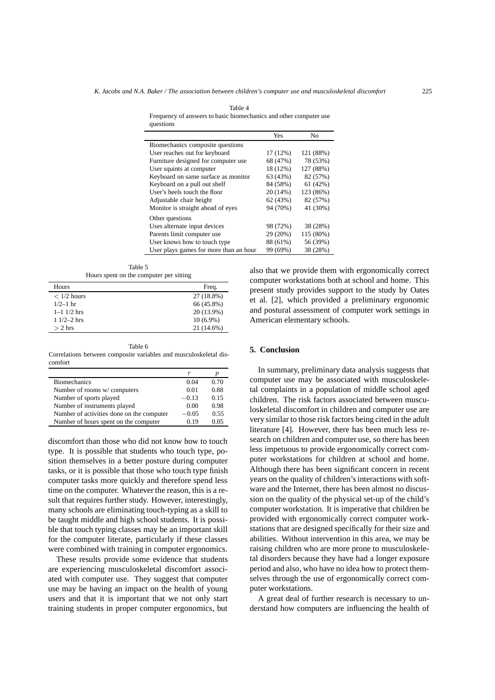Table 4 Frequency of answers to basic biomechanics and other computer use questions

|                                        | Yes      | No        |
|----------------------------------------|----------|-----------|
| Biomechanics composite questions       |          |           |
| User reaches out for keyboard          | 17 (12%) | 121 (88%) |
| Furniture designed for computer use    | 68 (47%) | 78 (53%)  |
| User squints at computer               | 18 (12%) | 127 (88%) |
| Keyboard on same surface as monitor    | 63 (43%) | 82 (57%)  |
| Keyboard on a pull out shelf           | 84 (58%) | 61(42%)   |
| User's heels touch the floor           | 20 (14%) | 123 (86%) |
| Adjustable chair height                | 62(43%)  | 82 (57%)  |
| Monitor is straight ahead of eyes      | 94 (70%) | 41 (30%)  |
| Other questions                        |          |           |
| Uses alternate input devices           | 98 (72%) | 38 (28%)  |
| Parents limit computer use             | 29 (20%) | 115 (80%) |
| User knows how to touch type           | 88 (61%) | 56 (39%)  |
| User plays games for more than an hour | 99 (69%) | 38 (28%)  |

Table 5 Hours spent on the computer per sitting

| Hours             | Freq.       |
|-------------------|-------------|
| $< 1/2$ hours     | 27 (18.8%)  |
| $1/2 - 1$ hr      | 66 (45.8%)  |
| $1 - 1$ $1/2$ hrs | 20 (13.9%)  |
| $11/2-2$ hrs      | $10(6.9\%)$ |
| $> 2$ hrs         | 21 (14.6%)  |

Table 6

Correlations between composite variables and musculoskeletal discomfort

|                                           | r       | р    |
|-------------------------------------------|---------|------|
| <b>Biomechanics</b>                       | 0.04    | 0.70 |
| Number of rooms w/computers               | 0.01    | 0.88 |
| Number of sports played                   | $-0.13$ | 0.15 |
| Number of instruments played              | 0.00    | 0.98 |
| Number of activities done on the computer | $-0.05$ | 0.55 |
| Number of hours spent on the computer     | 0.19    | 0.05 |

discomfort than those who did not know how to touch type. It is possible that students who touch type, position themselves in a better posture during computer tasks, or it is possible that those who touch type finish computer tasks more quickly and therefore spend less time on the computer. Whatever the reason, this is a result that requires further study. However, interestingly, many schools are eliminating touch-typing as a skill to be taught middle and high school students. It is possible that touch typing classes may be an important skill for the computer literate, particularly if these classes were combined with training in computer ergonomics.

These results provide some evidence that students are experiencing musculoskeletal discomfort associated with computer use. They suggest that computer use may be having an impact on the health of young users and that it is important that we not only start training students in proper computer ergonomics, but also that we provide them with ergonomically correct computer workstations both at school and home. This present study provides support to the study by Oates et al. [2], which provided a preliminary ergonomic and postural assessment of computer work settings in American elementary schools.

# **5. Conclusion**

In summary, preliminary data analysis suggests that computer use may be associated with musculoskeletal complaints in a population of middle school aged children. The risk factors associated between musculoskeletal discomfort in children and computer use are very similar to those risk factors being cited in the adult literature [4]. However, there has been much less research on children and computer use, so there has been less impetuous to provide ergonomically correct computer workstations for children at school and home. Although there has been significant concern in recent years on the quality of children's interactions with software and the Internet, there has been almost no discussion on the quality of the physical set-up of the child's computer workstation. It is imperative that children be provided with ergonomically correct computer workstations that are designed specifically for their size and abilities. Without intervention in this area, we may be raising children who are more prone to musculoskeletal disorders because they have had a longer exposure period and also, who have no idea how to protect themselves through the use of ergonomically correct computer workstations.

A great deal of further research is necessary to understand how computers are influencing the health of